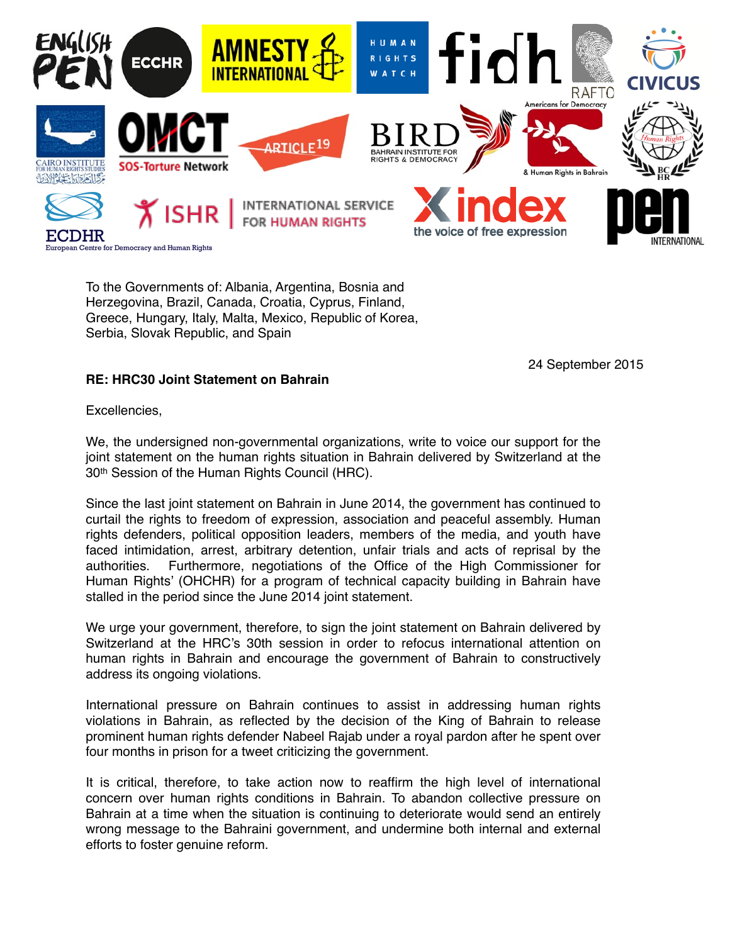

To the Governments of: Albania, Argentina, Bosnia and Herzegovina, Brazil, Canada, Croatia, Cyprus, Finland, Greece, Hungary, Italy, Malta, Mexico, Republic of Korea, Serbia, Slovak Republic, and Spain

24 September 2015

## **RE: HRC30 Joint Statement on Bahrain**

Excellencies,

We, the undersigned non-governmental organizations, write to voice our support for the joint statement on the human rights situation in Bahrain delivered by Switzerland at the 30th Session of the Human Rights Council (HRC).

Since the last joint statement on Bahrain in June 2014, the government has continued to curtail the rights to freedom of expression, association and peaceful assembly. Human rights defenders, political opposition leaders, members of the media, and youth have faced intimidation, arrest, arbitrary detention, unfair trials and acts of reprisal by the authorities. Furthermore, negotiations of the Office of the High Commissioner for Human Rights' (OHCHR) for a program of technical capacity building in Bahrain have stalled in the period since the June 2014 joint statement.

We urge your government, therefore, to sign the joint statement on Bahrain delivered by Switzerland at the HRC's 30th session in order to refocus international attention on human rights in Bahrain and encourage the government of Bahrain to constructively address its ongoing violations.

International pressure on Bahrain continues to assist in addressing human rights violations in Bahrain, as reflected by the decision of the King of Bahrain to release prominent human rights defender Nabeel Rajab under a royal pardon after he spent over four months in prison for a tweet criticizing the government.

It is critical, therefore, to take action now to reaffirm the high level of international concern over human rights conditions in Bahrain. To abandon collective pressure on Bahrain at a time when the situation is continuing to deteriorate would send an entirely wrong message to the Bahraini government, and undermine both internal and external efforts to foster genuine reform.